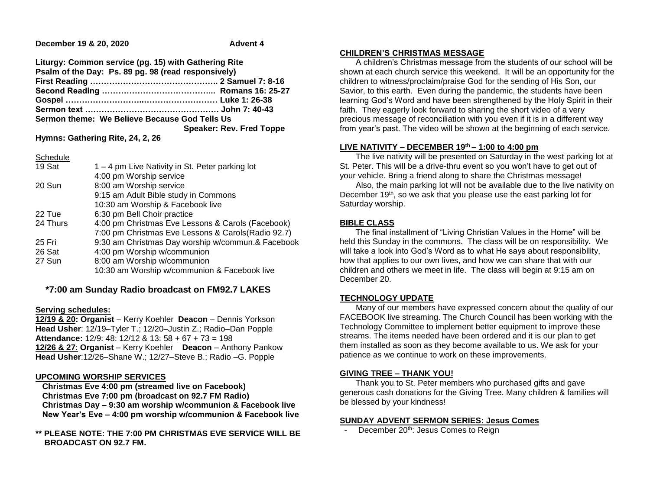**December 19 & 20, 2020** Advent 4

**Liturgy: Common service (pg. 15) with Gathering Rite Psalm of the Day: Ps. 89 pg. 98 (read responsively) First Reading ……………………………………….. 2 Samuel 7: 8-16 Second Reading …………………………………... Romans 16: 25-27 Gospel ………………………..……………………… Luke 1: 26-38 Sermon text …………………………………………. John 7: 40-43 Sermon theme: We Believe Because God Tells Us Speaker: Rev. Fred Toppe**

**Hymns: Gathering Rite, 24, 2, 26**

| Schedule |                                                     |
|----------|-----------------------------------------------------|
| 19 Sat   | 1 – 4 pm Live Nativity in St. Peter parking lot     |
|          | 4:00 pm Worship service                             |
| 20 Sun   | 8:00 am Worship service                             |
|          | 9:15 am Adult Bible study in Commons                |
|          | 10:30 am Worship & Facebook live                    |
| 22 Tue   | 6:30 pm Bell Choir practice                         |
| 24 Thurs | 4:00 pm Christmas Eve Lessons & Carols (Facebook)   |
|          | 7:00 pm Christmas Eve Lessons & Carols (Radio 92.7) |
| 25 Fri   | 9:30 am Christmas Day worship w/commun.& Facebook   |
| 26 Sat   | 4:00 pm Worship w/communion                         |
| 27 Sun   | 8:00 am Worship w/communion                         |
|          | 10:30 am Worship w/communion & Facebook live        |
|          |                                                     |

# **\*7:00 am Sunday Radio broadcast on FM92.7 LAKES**

### **Serving schedules:**

**12/19 & 20: Organist** – Kerry Koehler **Deacon** – Dennis Yorkson **Head Usher**: 12/19–Tyler T.; 12/20–Justin Z.; Radio–Dan Popple **Attendance:** 12/9: 48: 12/12 & 13: 58 + 67 + 73 = 198 **12/26 & 27**: **Organist** – Kerry Koehler **Deacon** – Anthony Pankow **Head Usher**:12/26–Shane W.; 12/27–Steve B.; Radio –G. Popple

### **UPCOMING WORSHIP SERVICES**

 **Christmas Eve 4:00 pm (streamed live on Facebook) Christmas Eve 7:00 pm (broadcast on 92.7 FM Radio) Christmas Day – 9:30 am worship w/communion & Facebook live New Year's Eve – 4:00 pm worship w/communion & Facebook live**

## **\*\* PLEASE NOTE: THE 7:00 PM CHRISTMAS EVE SERVICE WILL BE BROADCAST ON 92.7 FM.**

## **CHILDREN'S CHRISTMAS MESSAGE**

 A children's Christmas message from the students of our school will be shown at each church service this weekend. It will be an opportunity for the children to witness/proclaim/praise God for the sending of His Son, our Savior, to this earth. Even during the pandemic, the students have been learning God's Word and have been strengthened by the Holy Spirit in their faith. They eagerly look forward to sharing the short video of a very precious message of reconciliation with you even if it is in a different way from year's past. The video will be shown at the beginning of each service.

# **LIVE NATIVITY – DECEMBER 19th – 1:00 to 4:00 pm**

 The live nativity will be presented on Saturday in the west parking lot at St. Peter. This will be a drive-thru event so you won't have to get out of your vehicle. Bring a friend along to share the Christmas message!

 Also, the main parking lot will not be available due to the live nativity on December  $19<sup>th</sup>$ , so we ask that you please use the east parking lot for Saturday worship.

## **BIBLE CLASS**

 The final installment of "Living Christian Values in the Home" will be held this Sunday in the commons. The class will be on responsibility. We will take a look into God's Word as to what He says about responsibility, how that applies to our own lives, and how we can share that with our children and others we meet in life. The class will begin at 9:15 am on December 20.

### **TECHNOLOGY UPDATE**

 Many of our members have expressed concern about the quality of our FACEBOOK live streaming. The Church Council has been working with the Technology Committee to implement better equipment to improve these streams. The items needed have been ordered and it is our plan to get them installed as soon as they become available to us. We ask for your patience as we continue to work on these improvements.

# **GIVING TREE – THANK YOU!**

 Thank you to St. Peter members who purchased gifts and gave generous cash donations for the Giving Tree. Many children & families will be blessed by your kindness!

# **SUNDAY ADVENT SERMON SERIES: Jesus Comes**

December 20<sup>th</sup>: Jesus Comes to Reign